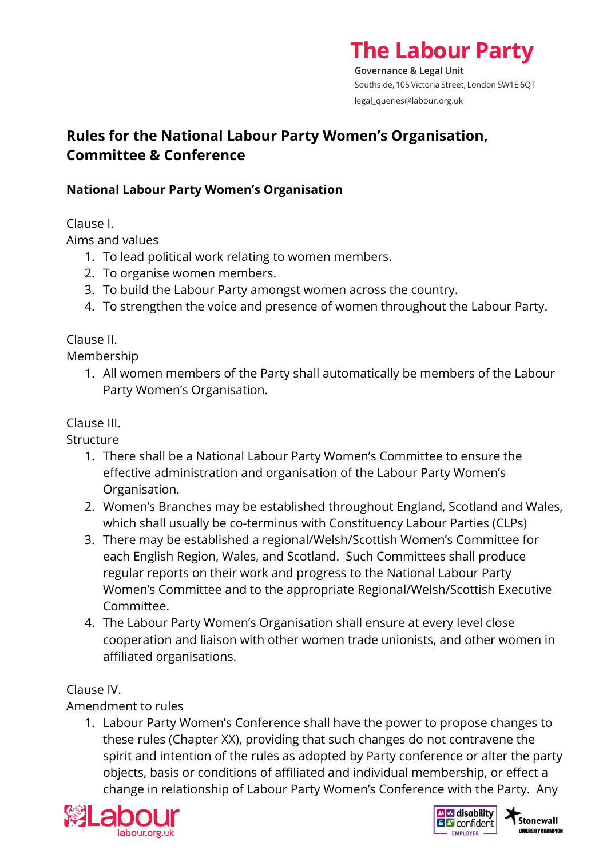# **The Labour Party**

**Governance & Legal Unit** Southside, 105 Victoria Street, London SW1E 6QT legal\_queries@labour.org.uk

# **Rules for the National Labour Party Women's Organisation, Committee & Conference**

## **National Labour Party Women's Organisation**

Clause I.

Aims and values

- 1. To lead political work relating to women members.
- 2. To organise women members.
- 3. To build the Labour Party amongst women across the country.
- 4. To strengthen the voice and presence of women throughout the Labour Party.

# Clause II.

Membership

1. All women members of the Party shall automatically be members of the Labour Party Women's Organisation.

# Clause III.

**Structure** 

- 1. There shall be a National Labour Party Women's Committee to ensure the effective administration and organisation of the Labour Party Women's Organisation.
- 2. Women's Branches may be established throughout England, Scotland and Wales, which shall usually be co-terminus with Constituency Labour Parties (CLPs)
- 3. There may be established a regional/Welsh/Scottish Women's Committee for each English Region, Wales, and Scotland. Such Committees shall produce regular reports on their work and progress to the National Labour Party Women's Committee and to the appropriate Regional/Welsh/Scottish Executive Committee.
- 4. The Labour Party Women's Organisation shall ensure at every level close cooperation and liaison with other women trade unionists, and other women in affiliated organisations.

# Clause IV.

Amendment to rules

1. Labour Party Women's Conference shall have the power to propose changes to these rules (Chapter XX), providing that such changes do not contravene the spirit and intention of the rules as adopted by Party conference or alter the party objects, basis or conditions of affiliated and individual membership, or effect a change in relationship of Labour Party Women's Conference with the Party. Any





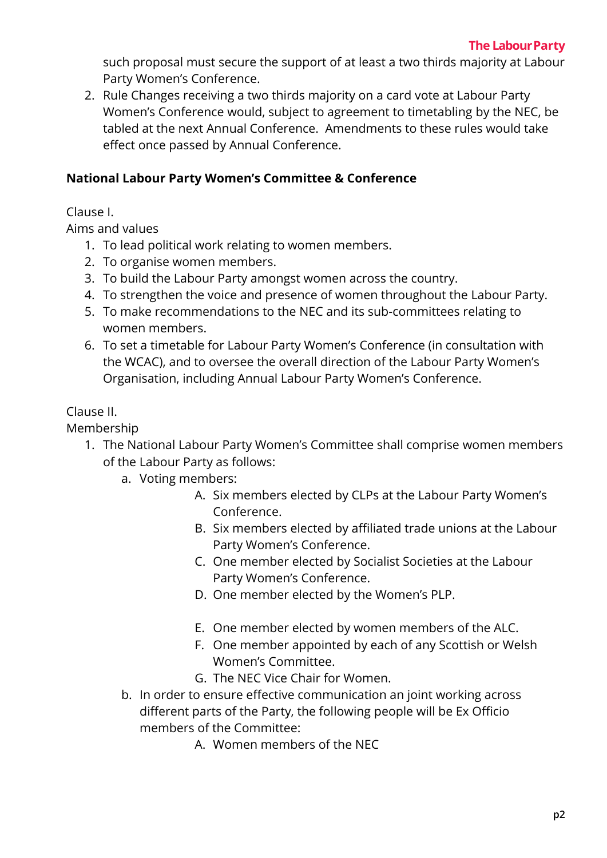such proposal must secure the support of at least a two thirds majority at Labour Party Women's Conference.

2. Rule Changes receiving a two thirds majority on a card vote at Labour Party Women's Conference would, subject to agreement to timetabling by the NEC, be tabled at the next Annual Conference. Amendments to these rules would take effect once passed by Annual Conference.

#### **National Labour Party Women's Committee & Conference**

Clause I.

Aims and values

- 1. To lead political work relating to women members.
- 2. To organise women members.
- 3. To build the Labour Party amongst women across the country.
- 4. To strengthen the voice and presence of women throughout the Labour Party.
- 5. To make recommendations to the NEC and its sub-committees relating to women members.
- 6. To set a timetable for Labour Party Women's Conference (in consultation with the WCAC), and to oversee the overall direction of the Labour Party Women's Organisation, including Annual Labour Party Women's Conference.

#### Clause II.

Membership

- 1. The National Labour Party Women's Committee shall comprise women members of the Labour Party as follows:
	- a. Voting members:
		- A. Six members elected by CLPs at the Labour Party Women's Conference.
		- B. Six members elected by affiliated trade unions at the Labour Party Women's Conference.
		- C. One member elected by Socialist Societies at the Labour Party Women's Conference.
		- D. One member elected by the Women's PLP.
		- E. One member elected by women members of the ALC.
		- F. One member appointed by each of any Scottish or Welsh Women's Committee.
		- G. The NEC Vice Chair for Women.
	- b. In order to ensure effective communication an joint working across different parts of the Party, the following people will be Ex Officio members of the Committee:
		- A. Women members of the NEC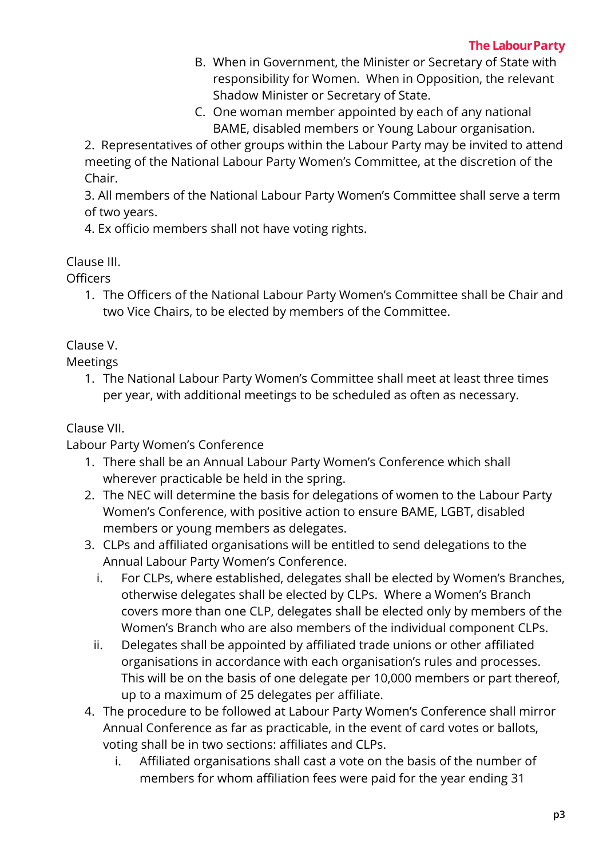- B. When in Government, the Minister or Secretary of State with responsibility for Women. When in Opposition, the relevant Shadow Minister or Secretary of State.
- C. One woman member appointed by each of any national BAME, disabled members or Young Labour organisation.

2. Representatives of other groups within the Labour Party may be invited to attend meeting of the National Labour Party Women's Committee, at the discretion of the Chair.

3. All members of the National Labour Party Women's Committee shall serve a term of two years.

4. Ex officio members shall not have voting rights.

## Clause III.

**Officers** 

1. The Officers of the National Labour Party Women's Committee shall be Chair and two Vice Chairs, to be elected by members of the Committee.

## Clause V.

Meetings

1. The National Labour Party Women's Committee shall meet at least three times per year, with additional meetings to be scheduled as often as necessary.

# Clause VII.

Labour Party Women's Conference

- 1. There shall be an Annual Labour Party Women's Conference which shall wherever practicable be held in the spring.
- 2. The NEC will determine the basis for delegations of women to the Labour Party Women's Conference, with positive action to ensure BAME, LGBT, disabled members or young members as delegates.
- 3. CLPs and affiliated organisations will be entitled to send delegations to the Annual Labour Party Women's Conference.
	- i. For CLPs, where established, delegates shall be elected by Women's Branches, otherwise delegates shall be elected by CLPs. Where a Women's Branch covers more than one CLP, delegates shall be elected only by members of the Women's Branch who are also members of the individual component CLPs.
	- ii. Delegates shall be appointed by affiliated trade unions or other affiliated organisations in accordance with each organisation's rules and processes. This will be on the basis of one delegate per 10,000 members or part thereof, up to a maximum of 25 delegates per affiliate.
- 4. The procedure to be followed at Labour Party Women's Conference shall mirror Annual Conference as far as practicable, in the event of card votes or ballots, voting shall be in two sections: affiliates and CLPs.
	- i. Affiliated organisations shall cast a vote on the basis of the number of members for whom affiliation fees were paid for the year ending 31